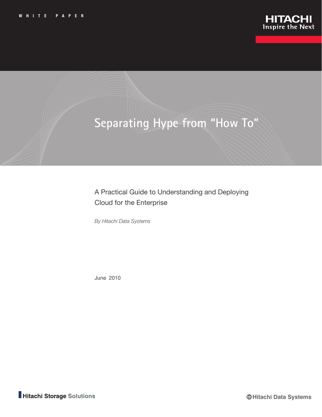

# **Separating Hype from "How To"**

A Practical Guide to Understanding and Deploying Cloud for the Enterprise

*By Hitachi Data Systems*

June 2010

Hitachi Storage Solutions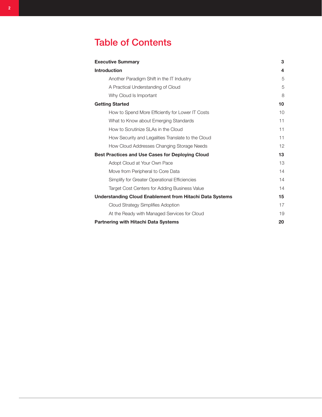# Table of Contents

| <b>Executive Summary</b>                                        | 3  |
|-----------------------------------------------------------------|----|
| <b>Introduction</b>                                             | 4  |
| Another Paradigm Shift in the IT Industry                       | 5  |
| A Practical Understanding of Cloud                              | 5  |
| Why Cloud Is Important                                          | 8  |
| <b>Getting Started</b>                                          | 10 |
| How to Spend More Efficiently for Lower IT Costs                | 10 |
| What to Know about Emerging Standards                           | 11 |
| How to Scrutinize SLAs in the Cloud                             | 11 |
| How Security and Legalities Translate to the Cloud              | 11 |
| How Cloud Addresses Changing Storage Needs                      | 12 |
| <b>Best Practices and Use Cases for Deploying Cloud</b>         | 13 |
| Adopt Cloud at Your Own Pace                                    | 13 |
| Move from Peripheral to Core Data                               | 14 |
| Simplify for Greater Operational Efficiencies                   | 14 |
| Target Cost Centers for Adding Business Value                   | 14 |
| <b>Understanding Cloud Enablement from Hitachi Data Systems</b> | 15 |
| Cloud Strategy Simplifies Adoption                              | 17 |
| At the Ready with Managed Services for Cloud                    | 19 |
| <b>Partnering with Hitachi Data Systems</b>                     | 20 |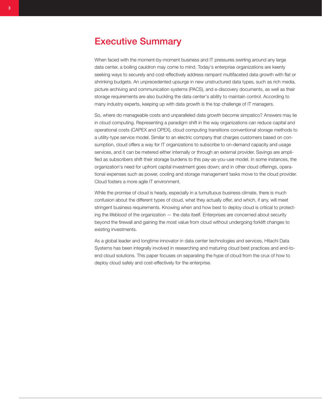## <span id="page-2-0"></span>Executive Summary

When faced with the moment-by-moment business and IT pressures swirling around any large data center, a boiling cauldron may come to mind. Today's enterprise organizations are keenly seeking ways to securely and cost-effectively address rampant multifaceted data growth with flat or shrinking budgets. An unprecedented upsurge in new unstructured data types, such as rich media, picture archiving and communication systems (PACS), and e-discovery documents, as well as their storage requirements are also buckling the data center's ability to maintain control. According to many industry experts, keeping up with data growth is the top challenge of IT managers.

So, where do manageable costs and unparalleled data growth become simpatico? Answers may lie in cloud computing. Representing a paradigm shift in the way organizations can reduce capital and operational costs (CAPEX and OPEX), cloud computing transitions conventional storage methods to a utility-type service model. Similar to an electric company that charges customers based on consumption, cloud offers a way for IT organizations to subscribe to on-demand capacity and usage services, and it can be metered either internally or through an external provider. Savings are amplified as subscribers shift their storage burdens to this pay-as-you-use model. In some instances, the organization's need for upfront capital investment goes down; and in other cloud offerings, operational expenses such as power, cooling and storage management tasks move to the cloud provider. Cloud fosters a more agile IT environment.

While the promise of cloud is heady, especially in a tumultuous business climate, there is much confusion about the different types of cloud, what they actually offer, and which, if any, will meet stringent business requirements. Knowing when and how best to deploy cloud is critical to protecting the lifeblood of the organization — the data itself. Enterprises are concerned about security beyond the firewall and gaining the most value from cloud without undergoing forklift changes to existing investments.

As a global leader and longtime innovator in data center technologies and services, Hitachi Data Systems has been integrally involved in researching and maturing cloud best practices and end-toend cloud solutions. This paper focuses on separating the hype of cloud from the crux of how to deploy cloud safely and cost-effectively for the enterprise.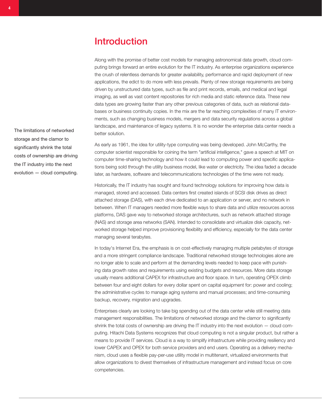<span id="page-3-0"></span>Along with the promise of better cost models for managing astronomical data growth, cloud computing brings forward an entire evolution for the IT industry. As enterprise organizations experience the crush of relentless demands for greater availability, performance and rapid deployment of new applications, the edict to do more with less prevails. Plenty of new storage requirements are being driven by unstructured data types, such as file and print records, emails, and medical and legal imaging, as well as vast content repositories for rich media and static reference data. These new data types are growing faster than any other previous categories of data, such as relational databases or business continuity copies. In the mix are the far reaching complexities of many IT environments, such as changing business models, mergers and data security regulations across a global landscape, and maintenance of legacy systems. It is no wonder the enterprise data center needs a better solution.

As early as 1961, the idea for utility-type computing was being developed. John McCarthy, the computer scientist responsible for coining the term "artificial intelligence," gave a speech at MIT on computer time-sharing technology and how it could lead to computing power and specific applications being sold through the utility business model, like water or electricity. The idea faded a decade later, as hardware, software and telecommunications technologies of the time were not ready.

Historically, the IT industry has sought and found technology solutions for improving how data is managed, stored and accessed. Data centers first created islands of SCSI disk drives as direct attached storage (DAS), with each drive dedicated to an application or server, and no network in between. When IT managers needed more flexible ways to share data and utilize resources across platforms, DAS gave way to networked storage architectures, such as network attached storage (NAS) and storage area networks (SAN). Intended to consolidate and virtualize disk capacity, networked storage helped improve provisioning flexibility and efficiency, especially for the data center managing several terabytes.

In today's Internet Era, the emphasis is on cost-effectively managing multiple petabytes of storage and a more stringent compliance landscape. Traditional networked storage technologies alone are no longer able to scale and perform at the demanding levels needed to keep pace with punishing data growth rates and requirements using existing budgets and resources. More data storage usually means additional CAPEX for infrastructure and floor space. In turn, operating OPEX climb between four and eight dollars for every dollar spent on capital equipment for: power and cooling; the administrative cycles to manage aging systems and manual processes; and time-consuming backup, recovery, migration and upgrades.

Enterprises clearly are looking to take big spending out of the data center while still meeting data management responsibilities. The limitations of networked storage and the clamor to significantly shrink the total costs of ownership are driving the IT industry into the next evolution — cloud computing. Hitachi Data Systems recognizes that cloud computing is not a singular product, but rather a means to provide IT services. Cloud is a way to simplify infrastructure while providing resiliency and lower CAPEX and OPEX for both service providers and end users. Operating as a delivery mechanism, cloud uses a flexible pay-per-use utility model in multitenant, virtualized environments that allow organizations to divest themselves of infrastructure management and instead focus on core competencies.

The limitations of networked storage and the clamor to significantly shrink the total costs of ownership are driving the IT industry into the next evolution — cloud computing.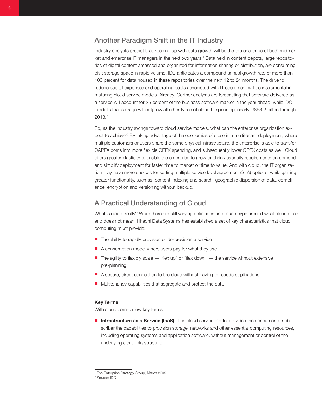## <span id="page-4-0"></span>Another Paradigm Shift in the IT Industry

Industry analysts predict that keeping up with data growth will be the top challenge of both midmarket and enterprise IT managers in the next two years.<sup>1</sup> Data held in content depots, large repositories of digital content amassed and organized for information sharing or distribution, are consuming disk storage space in rapid volume. IDC anticipates a compound annual growth rate of more than 100 percent for data housed in these repositories over the next 12 to 24 months. The drive to reduce capital expenses and operating costs associated with IT equipment will be instrumental in maturing cloud service models. Already, Gartner analysts are forecasting that software delivered as a service will account for 25 percent of the business software market in the year ahead, while IDC predicts that storage will outgrow all other types of cloud IT spending, nearly US\$6.2 billion through 2013.2

So, as the industry swings toward cloud service models, what can the enterprise organization expect to achieve? By taking advantage of the economies of scale in a multitenant deployment, where multiple customers or users share the same physical infrastructure, the enterprise is able to transfer CAPEX costs into more flexible OPEX spending, and subsequently lower OPEX costs as well. Cloud offers greater elasticity to enable the enterprise to grow or shrink capacity requirements on demand and simplify deployment for faster time to market or time to value. And with cloud, the IT organization may have more choices for setting multiple service level agreement (SLA) options, while gaining greater functionality, such as: content indexing and search, geographic dispersion of data, compliance, encryption and versioning without backup.

## A Practical Understanding of Cloud

What is cloud, really? While there are still varying definitions and much hype around what cloud does and does not mean, Hitachi Data Systems has established a set of key characteristics that cloud computing must provide:

- The ability to rapidly provision or de-provision a service
- A consumption model where users pay for what they use
- $\blacksquare$  The agility to flexibly scale  $-$  "flex up" or "flex down"  $-$  the service without extensive pre-planning
- A secure, direct connection to the cloud without having to recode applications
- Multitenancy capabilities that segregate and protect the data

#### Key Terms

With cloud come a few key terms:

■ Infrastructure as a Service (IaaS). This cloud service model provides the consumer or subscriber the capabilities to provision storage, networks and other essential computing resources, including operating systems and application software, without management or control of the underlying cloud infrastructure.

<sup>1</sup> The Enterprise Strategy Group, March 2009

<sup>2</sup> Source: IDC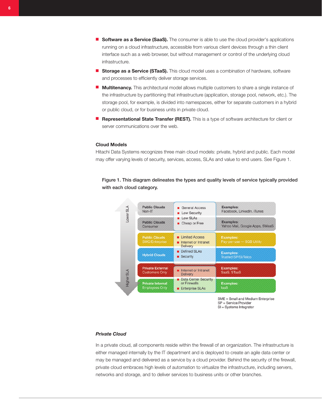- Software as a Service (SaaS). The consumer is able to use the cloud provider's applications running on a cloud infrastructure, accessible from various client devices through a thin client interface such as a web browser, but without management or control of the underlying cloud infrastructure.
- Storage as a Service (STaaS). This cloud model uses a combination of hardware, software and processes to efficiently deliver storage services.
- **Multitenancy.** This architectural model allows multiple customers to share a single instance of the infrastructure by partitioning that infrastructure (application, storage pool, network, etc.). The storage pool, for example, is divided into namespaces, either for separate customers in a hybrid or public cloud, or for business units in private cloud.
- Representational State Transfer (REST). This is a type of software architecture for client or server communications over the web.

#### Cloud Models

Hitachi Data Systems recognizes three main cloud models: private, hybrid and public. Each model may offer varying levels of security, services, access, SLAs and value to end users. See [Figure 1](#page-5-0).

<span id="page-5-0"></span>Figure 1. This diagram delineates the types and quality levels of service typically provided with each cloud category.



SME = Small and Medium Enterprise SP = Service Provider SI = Systems Integrator

#### *Private Cloud*

In a private cloud, all components reside within the firewall of an organization. The infrastructure is either managed internally by the IT department and is deployed to create an agile data center or may be managed and delivered as a service by a cloud provider. Behind the security of the firewall, private cloud embraces high levels of automation to virtualize the infrastructure, including servers, networks and storage, and to deliver services to business units or other branches.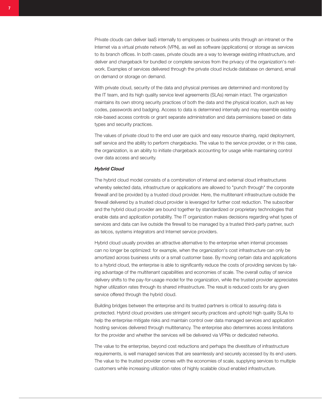Private clouds can deliver IaaS internally to employees or business units through an intranet or the Internet via a virtual private network (VPN), as well as software (applications) or storage as services to its branch offices. In both cases, private clouds are a way to leverage existing infrastructure, and deliver and chargeback for bundled or complete services from the privacy of the organization's network. Examples of services delivered through the private cloud include database on demand, email on demand or storage on demand.

With private cloud, security of the data and physical premises are determined and monitored by the IT team, and its high quality service level agreements (SLAs) remain intact. The organization maintains its own strong security practices of both the data and the physical location, such as key codes, passwords and badging. Access to data is determined internally and may resemble existing role-based access controls or grant separate administration and data permissions based on data types and security practices.

The values of private cloud to the end user are quick and easy resource sharing, rapid deployment, self service and the ability to perform chargebacks. The value to the service provider, or in this case, the organization, is an ability to initiate chargeback accounting for usage while maintaining control over data access and security.

#### *Hybrid Cloud*

The hybrid cloud model consists of a combination of internal and external cloud infrastructures whereby selected data, infrastructure or applications are allowed to "punch through" the corporate firewall and be provided by a trusted cloud provider. Here, the multitenant infrastructure outside the firewall delivered by a trusted cloud provider is leveraged for further cost reduction. The subscriber and the hybrid cloud provider are bound together by standardized or proprietary technologies that enable data and application portability. The IT organization makes decisions regarding what types of services and data can live outside the firewall to be managed by a trusted third-party partner, such as telcos, systems integrators and Internet service providers.

Hybrid cloud usually provides an attractive alternative to the enterprise when internal processes can no longer be optimized: for example, when the organization's cost infrastructure can only be amortized across business units or a small customer base. By moving certain data and applications to a hybrid cloud, the enterprise is able to significantly reduce the costs of providing services by taking advantage of the multitenant capabilities and economies of scale. The overall outlay of service delivery shifts to the pay-for-usage model for the organization, while the trusted provider appreciates higher utilization rates through its shared infrastructure. The result is reduced costs for any given service offered through the hybrid cloud.

Building bridges between the enterprise and its trusted partners is critical to assuring data is protected. Hybrid cloud providers use stringent security practices and uphold high quality SLAs to help the enterprise mitigate risks and maintain control over data managed services and application hosting services delivered through multitenancy. The enterprise also determines access limitations for the provider and whether the services will be delivered via VPNs or dedicated networks.

The value to the enterprise, beyond cost reductions and perhaps the divestiture of infrastructure requirements, is well managed services that are seamlessly and securely accessed by its end users. The value to the trusted provider comes with the economies of scale, supplying services to multiple customers while increasing utilization rates of highly scalable cloud enabled infrastructure.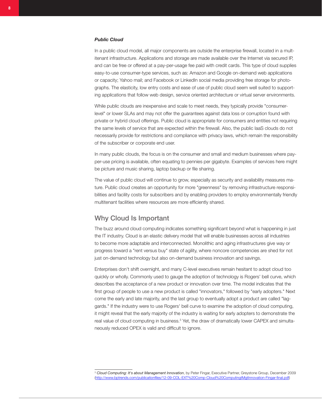#### <span id="page-7-0"></span>*Public Cloud*

In a public cloud model, all major components are outside the enterprise firewall, located in a multitenant infrastructure. Applications and storage are made available over the Internet via secured IP, and can be free or offered at a pay-per-usage fee paid with credit cards. This type of cloud supplies easy-to-use consumer-type services, such as: Amazon and Google on-demand web applications or capacity; Yahoo mail; and Facebook or LinkedIn social media providing free storage for photographs. The elasticity, low entry costs and ease of use of public cloud seem well suited to supporting applications that follow web design, service oriented architecture or virtual server environments.

While public clouds are inexpensive and scale to meet needs, they typically provide "consumerlevel" or lower SLAs and may not offer the guarantees against data loss or corruption found with private or hybrid cloud offerings. Public cloud is appropriate for consumers and entities not requiring the same levels of service that are expected within the firewall. Also, the public IaaS clouds do not necessarily provide for restrictions and compliance with privacy laws, which remain the responsibility of the subscriber or corporate end user.

In many public clouds, the focus is on the consumer and small and medium businesses where payper-use pricing is available, often equating to pennies per gigabyte. Examples of services here might be picture and music sharing, laptop backup or file sharing.

The value of public cloud will continue to grow, especially as security and availability measures mature. Public cloud creates an opportunity for more "greenness" by removing infrastructure responsibilities and facility costs for subscribers and by enabling providers to employ environmentally friendly multitenant facilities where resources are more efficiently shared.

## Why Cloud Is Important

The buzz around cloud computing indicates something significant beyond what is happening in just the IT industry. Cloud is an elastic delivery model that will enable businesses across all industries to become more adaptable and interconnected. Monolithic and aging infrastructures give way or progress toward a "rent versus buy" state of agility, where noncore competencies are shed for not just on-demand technology but also on-demand business innovation and savings.

Enterprises don't shift overnight, and many C-level executives remain hesitant to adopt cloud too quickly or wholly. Commonly used to gauge the adoption of technology is Rogers' bell curve, which describes the acceptance of a new product or innovation over time. The model indicates that the first group of people to use a new product is called "innovators," followed by "early adopters." Next come the early and late majority, and the last group to eventually adopt a product are called "laggards." If the industry were to use Rogers' bell curve to examine the adoption of cloud computing, it might reveal that the early majority of the industry is waiting for early adopters to demonstrate the real value of cloud computing in business.<sup>3</sup> Yet, the draw of dramatically lower CAPEX and simultaneously reduced OPEX is valid and difficult to ignore.

<sup>3</sup> *Cloud Computing: It's about Management Innovation*, by Peter Fingar, Executive Partner, Greystone Group, December 2009 (http://www.bptrends.com/publicationfiles/12-09-COL-EXT%20Comp-Cloud%20ComputingtMgtInnovation-Fingar-final.pdf)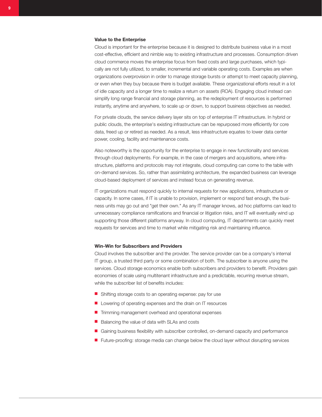#### Value to the Enterprise

Cloud is important for the enterprise because it is designed to distribute business value in a most cost-effective, efficient and nimble way to existing infrastructure and processes. Consumption driven cloud commerce moves the enterprise focus from fixed costs and large purchases, which typically are not fully utilized, to smaller, incremental and variable operating costs. Examples are when organizations overprovision in order to manage storage bursts or attempt to meet capacity planning, or even when they buy because there is budget available. These organizational efforts result in a lot of idle capacity and a longer time to realize a return on assets (ROA). Engaging cloud instead can simplify long range financial and storage planning, as the redeployment of resources is performed instantly, anytime and anywhere, to scale up or down, to support business objectives as needed.

For private clouds, the service delivery layer sits on top of enterprise IT infrastructure. In hybrid or public clouds, the enterprise's existing infrastructure can be repurposed more efficiently for core data, freed up or retired as needed. As a result, less infrastructure equates to lower data center power, cooling, facility and maintenance costs.

Also noteworthy is the opportunity for the enterprise to engage in new functionality and services through cloud deployments. For example, in the case of mergers and acquisitions, where infrastructure, platforms and protocols may not integrate, cloud computing can come to the table with on-demand services. So, rather than assimilating architecture, the expanded business can leverage cloud-based deployment of services and instead focus on generating revenue.

IT organizations must respond quickly to internal requests for new applications, infrastructure or capacity. In some cases, if IT is unable to provision, implement or respond fast enough, the business units may go out and "get their own." As any IT manager knows, ad hoc platforms can lead to unnecessary compliance ramifications and financial or litigation risks, and IT will eventually wind up supporting those different platforms anyway. In cloud computing, IT departments can quickly meet requests for services and time to market while mitigating risk and maintaining influence.

#### Win-Win for Subscribers and Providers

Cloud involves the subscriber and the provider. The service provider can be a company's internal IT group, a trusted third party or some combination of both. The subscriber is anyone using the services. Cloud storage economics enable both subscribers and providers to benefit. Providers gain economies of scale using multitenant infrastructure and a predictable, recurring revenue stream, while the subscriber list of benefits includes:

- Shifting storage costs to an operating expense: pay for use
- Lowering of operating expenses and the drain on IT resources
- Trimming management overhead and operational expenses
- Balancing the value of data with SLAs and costs
- Gaining business flexibility with subscriber controlled, on-demand capacity and performance
- Future-proofing: storage media can change below the cloud layer without disrupting services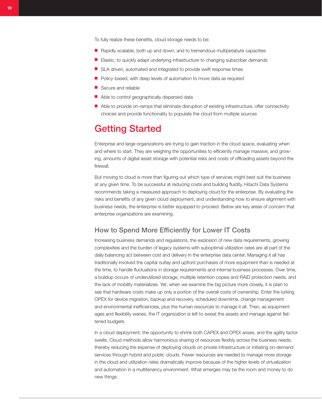<span id="page-9-0"></span>To fully realize these benefits, cloud storage needs to be:

- Rapidly scalable, both up and down, and to tremendous multipetabyte capacities
- Elastic, to quickly adapt underlying infrastructure to changing subscriber demands
- SLA driven, automated and integrated to provide swift response times
- Policy-based, with deep levels of automation to move data as required
- Secure and reliable
- Able to control geographically dispersed data
- Able to provide on-ramps that eliminate disruption of existing infrastructure, offer connectivity choices and provide functionality to populate the cloud from multiple sources

## Getting Started

Enterprise and large organizations are trying to gain traction in the cloud space, evaluating when and where to start. They are weighing the opportunities to efficiently manage massive, and growing, amounts of digital asset storage with potential risks and costs of offloading assets beyond the firewall.

But moving to cloud is more than figuring out which type of services might best suit the business at any given time. To be successful at reducing costs and building fluidity, Hitachi Data Systems recommends taking a measured approach to deploying cloud for the enterprise. By evaluating the risks and benefits of any given cloud deployment, and understanding how to ensure alignment with business needs, the enterprise is better equipped to proceed. Below are key areas of concern that enterprise organizations are examining.

### How to Spend More Efficiently for Lower IT Costs

Increasing business demands and regulations, the explosion of new data requirements, growing complexities and the burden of legacy systems with suboptimal utilization rates are all part of the daily balancing act between cost and delivery in the enterprise data center. Managing it all has traditionally involved the capital outlay and upfront purchases of more equipment than is needed at the time, to handle fluctuations in storage requirements and internal business processes. Over time, a buildup occurs of underutilized storage, multiple retention copies and RAID protection needs, and the lack of mobility materializes. Yet, when we examine the big picture more closely, it is plain to see that hardware costs make up only a portion of the overall costs of ownership. Enter the lurking OPEX for device migration, backup and recovery, scheduled downtime, change management and environmental inefficiencies, plus the human resources to manage it all. Then, as equipment ages and flexibility wanes, the IT organization is left to sweat the assets and manage against flattened budgets.

In a cloud deployment, the opportunity to shrink both CAPEX and OPEX arises, and the agility factor swells. Cloud methods allow harmonious sharing of resources flexibly across the business needs, thereby reducing the expense of deploying clouds on private infrastructure or initiating on-demand services through hybrid and public clouds. Fewer resources are needed to manage more storage in the cloud and utilization rates dramatically improve because of the higher levels of virtualization and automation in a multitenancy environment. What emerges may be the room and money to do new things.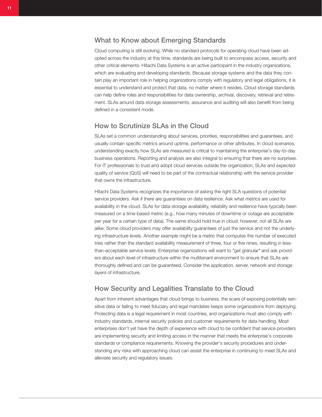## <span id="page-10-0"></span>What to Know about Emerging Standards

Cloud computing is still evolving. While no standard protocols for operating cloud have been adopted across the industry at this time, standards are being built to encompass access, security and other critical elements. Hitachi Data Systems is an active participant in the industry organizations, which are evaluating and developing standards. Because storage systems and the data they contain play an important role in helping organizations comply with regulatory and legal obligations, it is essential to understand and protect that data, no matter where it resides. Cloud storage standards can help define roles and responsibilities for data ownership, archival, discovery, retrieval and retirement. SLAs around data storage assessments, assurance and auditing will also benefit from being defined in a consistent mode.

## How to Scrutinize SLAs in the Cloud

SLAs set a common understanding about services, priorities, responsibilities and guarantees, and usually contain specific metrics around uptime, performance or other attributes. In cloud scenarios, understanding exactly how SLAs are measured is critical to maintaining the enterprise's day-to-day business operations. Reporting and analysis are also integral to ensuring that there are no surprises. For IT professionals to trust and adopt cloud services outside the organization, SLAs and expected quality of service (QoS) will need to be part of the contractual relationship with the service provider that owns the infrastructure.

Hitachi Data Systems recognizes the importance of asking the right SLA questions of potential service providers. Ask if there are guarantees on data resilience. Ask what metrics are used for availability in the cloud. SLAs for data storage availability, reliability and resilience have typically been measured on a time-based metric (e.g., how many minutes of downtime or outage are acceptable per year for a certain type of data). The same should hold true in cloud; however, not all SLAs are alike. Some cloud providers may offer availability guarantees of just the service and not the underlying infrastructure levels. Another example might be a metric that computes the number of executed tries rather than the standard availability measurement of three, four or five nines, resulting in lessthan-acceptable service levels. Enterprise organizations will want to "get granular" and ask providers about each level of infrastructure within the multitenant environment to ensure that SLAs are thoroughly defined and can be guaranteed. Consider the application, server, network and storage layers of infrastructure.

## How Security and Legalities Translate to the Cloud

Apart from inherent advantages that cloud brings to business, the scare of exposing potentially sensitive data or failing to meet fiduciary and legal mandates keeps some organizations from deploying. Protecting data is a legal requirement in most countries, and organizations must also comply with industry standards, internal security policies and customer requirements for data handling. Most enterprises don't yet have the depth of experience with cloud to be confident that service providers are implementing security and limiting access in the manner that meets the enterprise's corporate standards or compliance requirements. Knowing the provider's security procedures and understanding any risks with approaching cloud can assist the enterprise in continuing to meet SLAs and alleviate security and regulatory issues.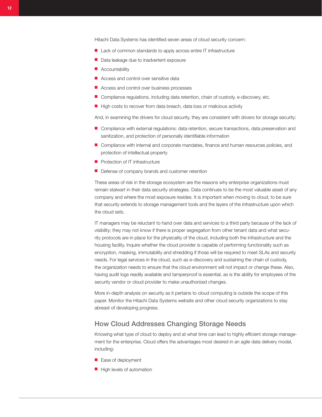<span id="page-11-0"></span>Hitachi Data Systems has identified seven areas of cloud security concern:

- Lack of common standards to apply across entire IT infrastructure
- Data leakage due to inadvertent exposure
- Accountability
- Access and control over sensitive data
- Access and control over business processes
- Compliance regulations, including data retention, chain of custody, e-discovery, etc.
- High costs to recover from data breach, data loss or malicious activity

And, in examining the drivers for cloud security, they are consistent with drivers for storage security:

- Compliance with external regulations: data retention, secure transactions, data preservation and sanitization, and protection of personally identifiable information
- Compliance with internal and corporate mandates, finance and human resources policies, and protection of intellectual property
- Protection of IT infrastructure
- Defense of company brands and customer retention

These areas of risk in the storage ecosystem are the reasons why enterprise organizations must remain stalwart in their data security strategies. Data continues to be the most valuable asset of any company and where the most exposure resides. It is important when moving to cloud, to be sure that security extends to storage management tools and the layers of the infrastructure upon which the cloud sets.

IT managers may be reluctant to hand over data and services to a third party because of the lack of visibility; they may not know if there is proper segregation from other tenant data and what security protocols are in place for the physicality of the cloud, including both the infrastructure and the housing facility. Inquire whether the cloud provider is capable of performing functionality such as encryption, masking, immutability and shredding if those will be required to meet SLAs and security needs. For legal services in the cloud, such as e-discovery and sustaining the chain of custody, the organization needs to ensure that the cloud environment will not impact or change these. Also, having audit logs readily available and tamperproof is essential, as is the ability for employees of the security vendor or cloud provider to make unauthorized changes.

More in-depth analysis on security as it pertains to cloud computing is outside the scope of this paper. Monitor the Hitachi Data Systems website and other cloud security organizations to stay abreast of developing progress.

### How Cloud Addresses Changing Storage Needs

Knowing what type of cloud to deploy and at what time can lead to highly efficient storage management for the enterprise. Cloud offers the advantages most desired in an agile data delivery model, including:

- Ease of deployment
- High levels of automation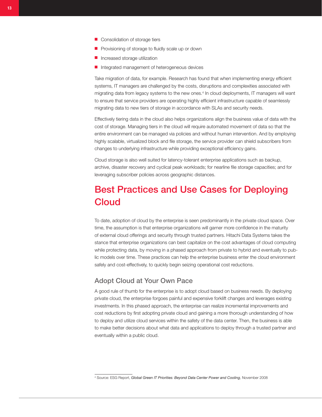- <span id="page-12-0"></span>■ Consolidation of storage tiers
- Provisioning of storage to fluidly scale up or down
- Increased storage utilization
- Integrated management of heterogeneous devices

Take migration of data, for example. Research has found that when implementing energy efficient systems, IT managers are challenged by the costs, disruptions and complexities associated with migrating data from legacy systems to the new ones.4 In cloud deployments, IT managers will want to ensure that service providers are operating highly efficient infrastructure capable of seamlessly migrating data to new tiers of storage in accordance with SLAs and security needs.

Effectively tiering data in the cloud also helps organizations align the business value of data with the cost of storage. Managing tiers in the cloud will require automated movement of data so that the entire environment can be managed via policies and without human intervention. And by employing highly scalable, virtualized block and file storage, the service provider can shield subscribers from changes to underlying infrastructure while providing exceptional efficiency gains.

Cloud storage is also well suited for latency-tolerant enterprise applications such as backup, archive, disaster recovery and cyclical peak workloads; for nearline file storage capacities; and for leveraging subscriber policies across geographic distances.

# Best Practices and Use Cases for Deploying **Cloud**

To date, adoption of cloud by the enterprise is seen predominantly in the private cloud space. Over time, the assumption is that enterprise organizations will garner more confidence in the maturity of external cloud offerings and security through trusted partners. Hitachi Data Systems takes the stance that enterprise organizations can best capitalize on the cost advantages of cloud computing while protecting data, by moving in a phased approach from private to hybrid and eventually to public models over time. These practices can help the enterprise business enter the cloud environment safely and cost-effectively, to quickly begin seizing operational cost reductions.

## Adopt Cloud at Your Own Pace

A good rule of thumb for the enterprise is to adopt cloud based on business needs. By deploying private cloud, the enterprise forgoes painful and expensive forklift changes and leverages existing investments. In this phased approach, the enterprise can realize incremental improvements and cost reductions by first adopting private cloud and gaining a more thorough understanding of how to deploy and utilize cloud services within the safety of the data center. Then, the business is able to make better decisions about what data and applications to deploy through a trusted partner and eventually within a public cloud.

<sup>4</sup> Source: ESG Report, *Global Green IT Priorities: Beyond Data Center Power and Cooling*, November 2008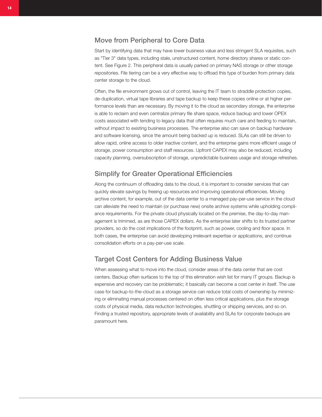## <span id="page-13-0"></span>Move from Peripheral to Core Data

Start by identifying data that may have lower business value and less stringent SLA requisites, such as "Tier 3" data types, including stale, unstructured content, home directory shares or static content. See [Figure 2.](#page-14-1) This peripheral data is usually parked on primary NAS storage or other storage repositories. File tiering can be a very effective way to offload this type of burden from primary data center storage to the cloud.

Often, the file environment grows out of control, leaving the IT team to straddle protection copies, de-duplication, virtual tape libraries and tape backup to keep these copies online or at higher performance levels than are necessary. By moving it to the cloud as secondary storage, the enterprise is able to reclaim and even centralize primary file share space, reduce backup and lower OPEX costs associated with tending to legacy data that often requires much care and feeding to maintain, without impact to existing business processes. The enterprise also can save on backup hardware and software licensing, since the amount being backed up is reduced. SLAs can still be driven to allow rapid, online access to older inactive content, and the enterprise gains more efficient usage of storage, power consumption and staff resources. Upfront CAPEX may also be reduced, including capacity planning, oversubscription of storage, unpredictable business usage and storage refreshes.

## Simplify for Greater Operational Efficiencies

Along the continuum of offloading data to the cloud, it is important to consider services that can quickly elevate savings by freeing up resources and improving operational efficiencies. Moving archive content, for example, out of the data center to a managed pay-per-use service in the cloud can alleviate the need to maintain (or purchase new) onsite archive systems while upholding compliance requirements. For the private cloud physically located on the premise, the day-to-day management is trimmed, as are those CAPEX dollars. As the enterprise later shifts to its trusted partner providers, so do the cost implications of the footprint, such as power, cooling and floor space. In both cases, the enterprise can avoid developing irrelevant expertise or applications, and continue consolidation efforts on a pay-per-use scale.

## Target Cost Centers for Adding Business Value

When assessing what to move into the cloud, consider areas of the data center that are cost centers. Backup often surfaces to the top of this elimination wish list for many IT groups. Backup is expensive and recovery can be problematic; it basically can become a cost center in itself. The use case for backup-to-the-cloud as a storage service can reduce total costs of ownership by minimizing or eliminating manual processes centered on often less critical applications, plus the storage costs of physical media, data reduction technologies, shuttling or shipping services, and so on. Finding a trusted repository, appropriate levels of availability and SLAs for corporate backups are paramount here.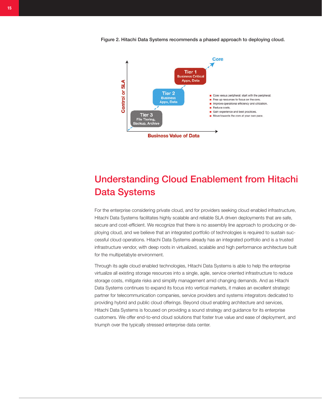<span id="page-14-1"></span><span id="page-14-0"></span>Figure 2. Hitachi Data Systems recommends a phased approach to deploying cloud.



# Understanding Cloud Enablement from Hitachi Data Systems

For the enterprise considering private cloud, and for providers seeking cloud enabled infrastructure, Hitachi Data Systems facilitates highly scalable and reliable SLA driven deployments that are safe, secure and cost-efficient. We recognize that there is no assembly line approach to producing or deploying cloud, and we believe that an integrated portfolio of technologies is required to sustain successful cloud operations. Hitachi Data Systems already has an integrated portfolio and is a trusted infrastructure vendor, with deep roots in virtualized, scalable and high performance architecture built for the multipetabyte environment.

Through its agile cloud enabled technologies, Hitachi Data Systems is able to help the enterprise virtualize all existing storage resources into a single, agile, service oriented infrastructure to reduce storage costs, mitigate risks and simplify management amid changing demands. And as Hitachi Data Systems continues to expand its focus into vertical markets, it makes an excellent strategic partner for telecommunication companies, service providers and systems integrators dedicated to providing hybrid and public cloud offerings. Beyond cloud enabling architecture and services, Hitachi Data Systems is focused on providing a sound strategy and guidance for its enterprise customers. We offer end-to-end cloud solutions that foster true value and ease of deployment, and triumph over the typically stressed enterprise data center.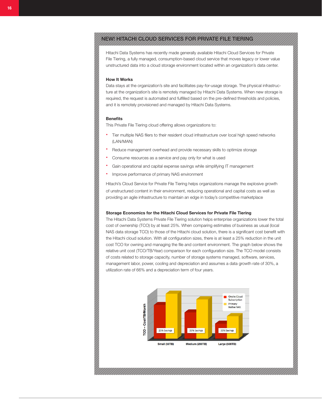## NEW! HITACHI CLOUD SERVICES FOR PRIVATE FILE TIERING

Hitachi Data Systems has recently made generally available Hitachi Cloud Services for Private File Tiering, a fully managed, consumption-based cloud service that moves legacy or lower value unstructured data into a cloud storage environment located within an organization's data center.

#### How It Works

Data stays at the organization's site and facilitates pay-for-usage storage. The physical infrastructure at the organization's site is remotely managed by Hitachi Data Systems. When new storage is required, the request is automated and fulfilled based on the pre-defined thresholds and policies, and it is remotely provisioned and managed by Hitachi Data Systems.

#### **Benefits**

This Private File Tiering cloud offering allows organizations to:

- Tier multiple NAS filers to their resident cloud infrastructure over local high speed networks (LAN/MAN)
- Reduce management overhead and provide necessary skills to optimize storage
- Consume resources as a service and pay only for what is used
- Gain operational and capital expense savings while simplifying IT management
- Improve performance of primary NAS environment

Hitachi's Cloud Service for Private File Tiering helps organizations manage the explosive growth of unstructured content in their environment, reducing operational and capital costs as well as providing an agile infrastructure to maintain an edge in today's competitive marketplace

#### Storage Economics for the Hitachi Cloud Services for Private File Tiering

The Hitachi Data Systems Private File Tiering solution helps enterprise organizations lower the total cost of ownership (TCO) by at least 25%. When comparing estimates of business as usual (local NAS data storage TCO) to those of the Hitachi cloud solution, there is a significant cost benefit with the Hitachi cloud solution. With all configuration sizes, there is at least a 25% reduction in the unit cost TCO for owning and managing the file and content environment. The graph below shows the relative unit cost (TCO/TB/Year) comparison for each configuration size. The TCO model consists of costs related to storage capacity, number of storage systems managed, software, services, management labor, power, cooling and depreciation and assumes a data growth rate of 30%, a utilization rate of 66% and a depreciation term of four years.

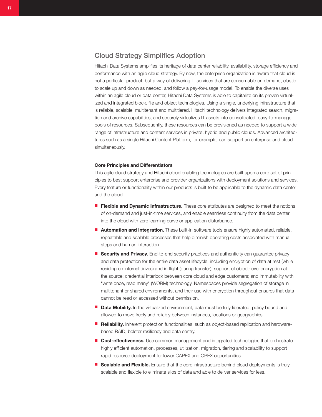## <span id="page-16-0"></span>Cloud Strategy Simplifies Adoption

Hitachi Data Systems amplifies its heritage of data center reliability, availability, storage efficiency and performance with an agile cloud strategy. By now, the enterprise organization is aware that cloud is not a particular product, but a way of delivering IT services that are consumable on demand, elastic to scale up and down as needed, and follow a pay-for-usage model. To enable the diverse uses within an agile cloud or data center, Hitachi Data Systems is able to capitalize on its proven virtualized and integrated block, file and object technologies. Using a single, underlying infrastructure that is reliable, scalable, multitenant and multitiered, Hitachi technology delivers integrated search, migration and archive capabilities, and securely virtualizes IT assets into consolidated, easy-to-manage pools of resources. Subsequently, these resources can be provisioned as needed to support a wide range of infrastructure and content services in private, hybrid and public clouds. Advanced architectures such as a single Hitachi Content Platform, for example, can support an enterprise and cloud simultaneously.

#### Core Principles and Differentiators

This agile cloud strategy and Hitachi cloud enabling technologies are built upon a core set of principles to best support enterprise and provider organizations with deployment solutions and services. Every feature or functionality within our products is built to be applicable to the dynamic data center and the cloud.

- Flexible and Dynamic Infrastructure. These core attributes are designed to meet the notions of on-demand and just-in-time services, and enable seamless continuity from the data center into the cloud with zero learning curve or application disturbance.
- Automation and Integration. These built-in software tools ensure highly automated, reliable, repeatable and scalable processes that help diminish operating costs associated with manual steps and human interaction.
- Security and Privacy. End-to-end security practices and authenticity can guarantee privacy and data protection for the entire data asset lifecycle, including encryption of data at rest (while residing on internal drives) and in flight (during transfer); support of object-level encryption at the source; credential interlock between core cloud and edge customers; and immutability with "write once, read many" (WORM) technology. Namespaces provide segregation of storage in multitenant or shared environments, and their use with encryption throughout ensures that data cannot be read or accessed without permission.
- Data Mobility. In the virtualized environment, data must be fully liberated, policy bound and allowed to move freely and reliably between instances, locations or geographies.
- Reliability. Inherent protection functionalities, such as object-based replication and hardwarebased RAID, bolster resiliency and data sentry.
- Cost-effectiveness. Use common management and integrated technologies that orchestrate highly efficient automation, processes, utilization, migration, tiering and scalability to support rapid resource deployment for lower CAPEX and OPEX opportunities.
- Scalable and Flexible. Ensure that the core infrastructure behind cloud deployments is truly scalable and flexible to eliminate silos of data and able to deliver services for less.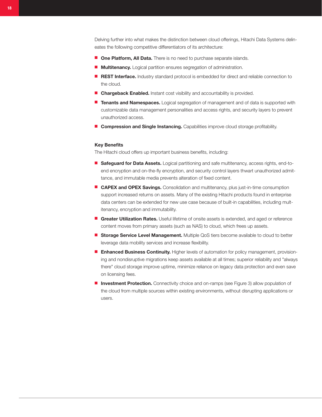Delving further into what makes the distinction between cloud offerings, Hitachi Data Systems delineates the following competitive differentiators of its architecture:

- One Platform, All Data. There is no need to purchase separate islands.
- **Multitenancy.** Logical partition ensures segregation of administration.
- REST Interface. Industry standard protocol is embedded for direct and reliable connection to the cloud.
- Chargeback Enabled. Instant cost visibility and accountability is provided.
- Tenants and Namespaces. Logical segregation of management and of data is supported with customizable data management personalities and access rights, and security layers to prevent unauthorized access.
- Compression and Single Instancing. Capabilities improve cloud storage profitability.

#### Key Benefits

The Hitachi cloud offers up important business benefits, including:

- Safeguard for Data Assets. Logical partitioning and safe multitenancy, access rights, end-toend encryption and on-the-fly encryption, and security control layers thwart unauthorized admittance, and immutable media prevents alteration of fixed content.
- CAPEX and OPEX Savings. Consolidation and multitenancy, plus just-in-time consumption support increased returns on assets. Many of the existing Hitachi products found in enterprise data centers can be extended for new use case because of built-in capabilities, including multitenancy, encryption and immutability.
- Greater Utilization Rates. Useful lifetime of onsite assets is extended, and aged or reference content moves from primary assets (such as NAS) to cloud, which frees up assets.
- Storage Service Level Management. Multiple QoS tiers become available to cloud to better leverage data mobility services and increase flexibility.
- Enhanced Business Continuity. Higher levels of automation for policy management, provisioning and nondisruptive migrations keep assets available at all times; superior reliability and "always there" cloud storage improve uptime, minimize reliance on legacy data protection and even save on licensing fees.
- <span id="page-17-0"></span>■ Investment Protection. Connectivity choice and on-ramps (see [Figure 3\)](#page-17-0) allow population of the cloud from multiple sources within existing environments, without disrupting applications or users.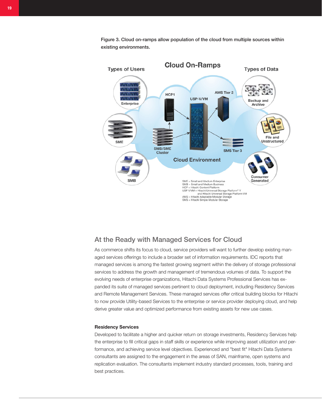

<span id="page-18-0"></span>Figure 3. Cloud on-ramps allow population of the cloud from multiple sources within existing environments.

## At the Ready with Managed Services for Cloud

As commerce shifts its focus to cloud, service providers will want to further develop existing managed services offerings to include a broader set of information requirements. IDC reports that managed services is among the fastest growing segment within the delivery of storage professional services to address the growth and management of tremendous volumes of data. To support the evolving needs of enterprise organizations, Hitachi Data Systems Professional Services has expanded its suite of managed services pertinent to cloud deployment, including Residency Services and Remote Management Services. These managed services offer critical building blocks for Hitachi to now provide Utility-based Services to the enterprise or service provider deploying cloud, and help derive greater value and optimized performance from existing assets for new use cases.

#### Residency Services

Developed to facilitate a higher and quicker return on storage investments, Residency Services help the enterprise to fill critical gaps in staff skills or experience while improving asset utilization and performance, and achieving service level objectives. Experienced and "best fit" Hitachi Data Systems consultants are assigned to the engagement in the areas of SAN, mainframe, open systems and replication evaluation. The consultants implement industry standard processes, tools, training and best practices.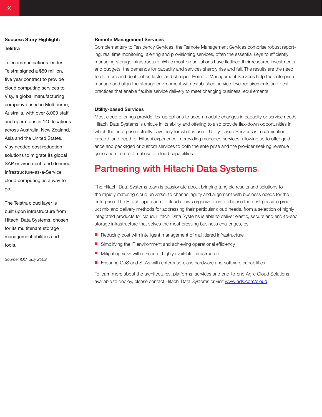## <span id="page-19-0"></span>Success Story Highlight: **Telstra**

Telecommunications leader Telstra signed a \$50 million, five year contract to provide cloud computing services to Visy, a global manufacturing company based in Melbourne, Australia, with over 8,000 staff and operations in 140 locations across Australia, New Zealand, Asia and the United States. Visy needed cost reduction solutions to migrate its global SAP environment, and deemed Infrastructure-as-a-Service cloud computing as a way to go.

The Telstra cloud layer is built upon infrastructure from Hitachi Data Systems, chosen for its multitenant storage management abilities and tools.

*Source: IDC, July 2009*

#### Remote Management Services

Complementary to Residency Services, the Remote Management Services comprise robust reporting, real time monitoring, alerting and provisioning services, often the essential keys to efficiently managing storage infrastructure. While most organizations have flatlined their resource investments and budgets, the demands for capacity and services sharply rise and fall. The results are the need to do more and do it better, faster and cheaper. Remote Management Services help the enterprise manage and align the storage environment with established service-level requirements and best practices that enable flexible service delivery to meet changing business requirements.

#### Utility-based Services

Most cloud offerings provide flex-up options to accommodate changes in capacity or service needs. Hitachi Data Systems is unique in its ability and offering to also provide flex-down opportunities in which the enterprise actually pays only for what is used. Utility-based Services is a culmination of breadth and depth of Hitachi experience in providing managed services, allowing us to offer guidance and packaged or custom services to both the enterprise and the provider seeking revenue generation from optimal use of cloud capabilities.

## Partnering with Hitachi Data Systems

The Hitachi Data Systems team is passionate about bringing tangible results and solutions to the rapidly maturing cloud universe, to channel agility and alignment with business needs for the enterprise. The Hitachi approach to cloud allows organizations to choose the best possible product mix and delivery methods for addressing their particular cloud needs, from a selection of highly integrated products for cloud. Hitachi Data Systems is able to deliver elastic, secure and end-to-end storage infrastructure that solves the most pressing business challenges, by:

- Reducing cost with intelligent management of multitiered infrastructure
- Simplifying the IT environment and achieving operational efficiency
- Mitigating risks with a secure, highly available infrastructure
- Ensuring QoS and SLAs with enterprise-class hardware and software capabilities

To learn more about the architectures, platforms, services and end-to-end Agile Cloud Solutions available to deploy, please contact Hitachi Data Systems or visit www.hds.com/cloud.